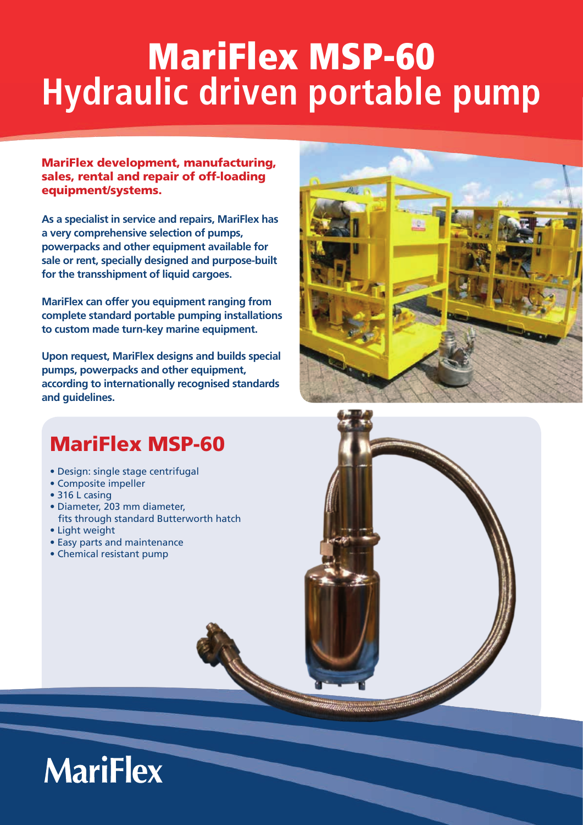# MariFlex MSP-60 **Hydraulic driven portable pump**

MariFlex development, manufacturing, sales, rental and repair of off-loading equipment/systems.

**As a specialist in service and repairs, MariFlex has a very comprehensive selection of pumps, powerpacks and other equipment available for sale or rent, specially designed and purpose-built for the transshipment of liquid cargoes.**

**MariFlex can offer you equipment ranging from complete standard portable pumping installations to custom made turn-key marine equipment.** 

**Upon request, MariFlex designs and builds special pumps, powerpacks and other equipment, according to internationally recognised standards and guidelines.**



### MariFlex MSP-60

- Design: single stage centrifugal
- Composite impeller
- 316 L casing
- Diameter, 203 mm diameter, fits through standard Butterworth hatch • Light weight
- 
- Easy parts and maintenance • Chemical resistant pump